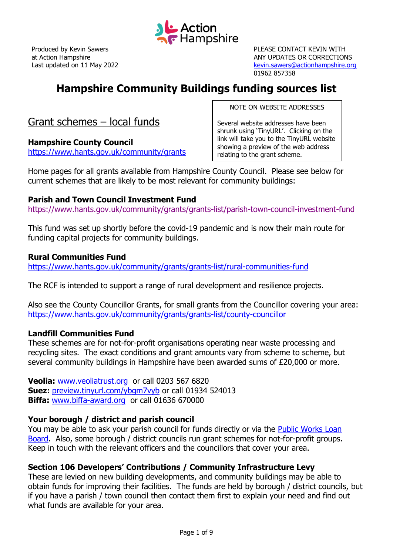

PLEASE CONTACT KEVIN WITH ANY UPDATES OR CORRECTIONS [kevin.sawers@actionhampshire.org](mailto:kevin.sawers@actionhampshire.org) 01962 857358

# **Hampshire Community Buildings funding sources list**

Grant schemes – local funds

## **Hampshire County Council**

<https://www.hants.gov.uk/community/grants>

NOTE ON WEBSITE ADDRESSES

Several website addresses have been shrunk using 'TinyURL'. Clicking on the link will take you to the TinyURL website showing a preview of the web address relating to the grant scheme.

Home pages for all grants available from Hampshire County Council. Please see below for current schemes that are likely to be most relevant for community buildings:

#### **Parish and Town Council Investment Fund**

<https://www.hants.gov.uk/community/grants/grants-list/parish-town-council-investment-fund>

This fund was set up shortly before the covid-19 pandemic and is now their main route for funding capital projects for community buildings.

#### **Rural Communities Fund**

<https://www.hants.gov.uk/community/grants/grants-list/rural-communities-fund>

The RCF is intended to support a range of rural development and resilience projects.

Also see the County Councillor Grants, for small grants from the Councillor covering your area: <https://www.hants.gov.uk/community/grants/grants-list/county-councillor>

## **Landfill Communities Fund**

These schemes are for not-for-profit organisations operating near waste processing and recycling sites. The exact conditions and grant amounts vary from scheme to scheme, but several community buildings in Hampshire have been awarded sums of £20,000 or more.

**Veolia:** [www.veoliatrust.org](http://www.veoliatrust.org/) or call 0203 567 6820 **Suez:** [preview.tinyurl.com/ybgm7vyb](https://preview.tinyurl.com/ybgm7vyb) or call 01934 524013 **Biffa:** [www.biffa-award.org](http://www.biffa-award.org/) or call 01636 670000

## **Your borough / district and parish council**

You may be able to ask your parish council for funds directly or via the [Public Works Loan](https://www.dmo.gov.uk/responsibilities/local-authority-lending/about-pwlb-lending/)  [Board.](https://www.dmo.gov.uk/responsibilities/local-authority-lending/about-pwlb-lending/) Also, some borough / district councils run grant schemes for not-for-profit groups. Keep in touch with the relevant officers and the councillors that cover your area.

## **Section 106 Developers' Contributions / Community Infrastructure Levy**

These are levied on new building developments, and community buildings may be able to obtain funds for improving their facilities. The funds are held by borough / district councils, but if you have a parish / town council then contact them first to explain your need and find out what funds are available for your area.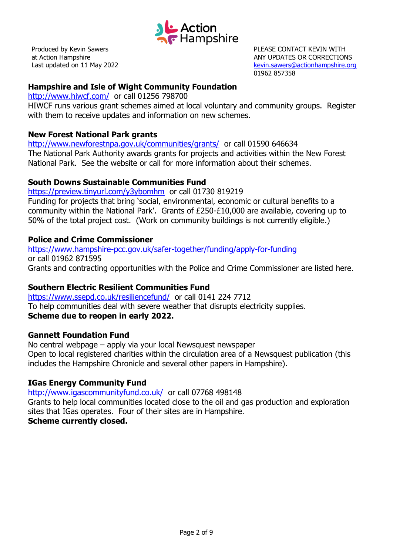

PLEASE CONTACT KEVIN WITH ANY UPDATES OR CORRECTIONS [kevin.sawers@actionhampshire.org](mailto:kevin.sawers@actionhampshire.org) 01962 857358

## **Hampshire and Isle of Wight Community Foundation**

<http://www.hiwcf.com/>or call 01256 798700

HIWCF runs various grant schemes aimed at local voluntary and community groups. Register with them to receive updates and information on new schemes.

## **New Forest National Park grants**

<http://www.newforestnpa.gov.uk/communities/grants/> or call 01590 646634 The National Park Authority awards grants for projects and activities within the New Forest National Park. See the website or call for more information about their schemes.

#### **South Downs Sustainable Communities Fund**

<https://preview.tinyurl.com/y3ybomhm> or call 01730 819219 Funding for projects that bring 'social, environmental, economic or cultural benefits to a community within the National Park'. Grants of £250-£10,000 are available, covering up to 50% of the total project cost. (Work on community buildings is not currently eligible.)

#### **Police and Crime Commissioner**

<https://www.hampshire-pcc.gov.uk/safer-together/funding/apply-for-funding> or call 01962 871595 Grants and contracting opportunities with the Police and Crime Commissioner are listed here.

## **Southern Electric Resilient Communities Fund**

<https://www.ssepd.co.uk/resiliencefund/> or call 0141 224 7712 To help communities deal with severe weather that disrupts electricity supplies. **Scheme due to reopen in early 2022.**

#### **Gannett Foundation Fund**

No central webpage – apply via your local Newsquest newspaper Open to local registered charities within the circulation area of a Newsquest publication (this includes the Hampshire Chronicle and several other papers in Hampshire).

#### **IGas Energy Community Fund**

<http://www.igascommunityfund.co.uk/>or call 07768 498148

Grants to help local communities located close to the oil and gas production and exploration sites that IGas operates. Four of their sites are in Hampshire. **Scheme currently closed.**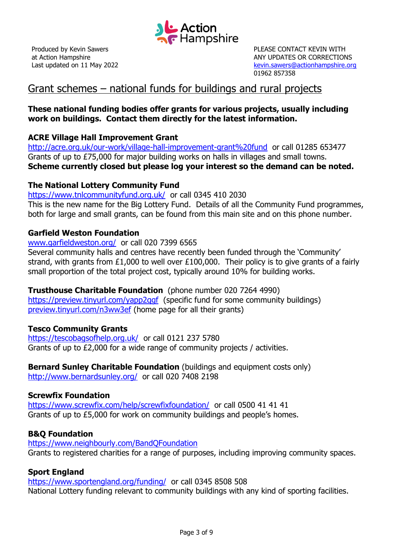

PLEASE CONTACT KEVIN WITH ANY UPDATES OR CORRECTIONS [kevin.sawers@actionhampshire.org](mailto:kevin.sawers@actionhampshire.org) 01962 857358

## Grant schemes – national funds for buildings and rural projects

## **These national funding bodies offer grants for various projects, usually including work on buildings. Contact them directly for the latest information.**

## **ACRE Village Hall Improvement Grant**

<http://acre.org.uk/our-work/village-hall-improvement-grant%20fund>or call 01285 653477 Grants of up to £75,000 for major building works on halls in villages and small towns. **Scheme currently closed but please log your interest so the demand can be noted.**

#### **The National Lottery Community Fund**

<https://www.tnlcommunityfund.org.uk/>or call 0345 410 2030 This is the new name for the Big Lottery Fund. Details of all the Community Fund programmes, both for large and small grants, can be found from this main site and on this phone number.

#### **Garfield Weston Foundation**

[www.garfieldweston.org/](http://www.garfieldweston.org/) or call 020 7399 6565 Several community halls and centres have recently been funded through the 'Community' strand, with grants from £1,000 to well over £100,000. Their policy is to give grants of a fairly small proportion of the total project cost, typically around 10% for building works.

**Trusthouse Charitable Foundation** (phone number 020 7264 4990) https://preview.tinyurl.com/yapp2qqf (specific fund for some community buildings) [preview.tinyurl.com/n3ww3ef](http://preview.tinyurl.com/n3ww3ef) (home page for all their grants)

## **Tesco Community Grants**

<https://tescobagsofhelp.org.uk/>or call 0121 237 5780 Grants of up to £2,000 for a wide range of community projects / activities.

**Bernard Sunley Charitable Foundation** (buildings and equipment costs only) <http://www.bernardsunley.org/>or call 020 7408 2198

## **Screwfix Foundation**

<https://www.screwfix.com/help/screwfixfoundation/>or call 0500 41 41 41 Grants of up to £5,000 for work on community buildings and people's homes.

## **B&Q Foundation**

<https://www.neighbourly.com/BandQFoundation> Grants to registered charities for a range of purposes, including improving community spaces.

## **Sport England**

<https://www.sportengland.org/funding/>or call 0345 8508 508 National Lottery funding relevant to community buildings with any kind of sporting facilities.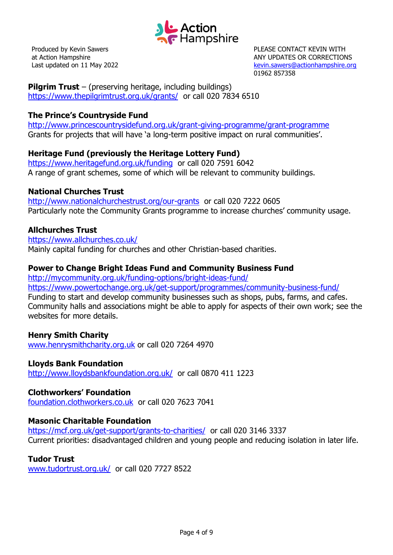

PLEASE CONTACT KEVIN WITH ANY UPDATES OR CORRECTIONS [kevin.sawers@actionhampshire.org](mailto:kevin.sawers@actionhampshire.org) 01962 857358

**Pilgrim Trust** – (preserving heritage, including buildings) <https://www.thepilgrimtrust.org.uk/grants/>or call 020 7834 6510

## **The Prince's Countryside Fund**

<http://www.princescountrysidefund.org.uk/grant-giving-programme/grant-programme> Grants for projects that will have 'a long-term positive impact on rural communities'.

## **Heritage Fund (previously the Heritage Lottery Fund)**

<https://www.heritagefund.org.uk/funding>or call 020 7591 6042 A range of grant schemes, some of which will be relevant to community buildings.

## **National Churches Trust**

<http://www.nationalchurchestrust.org/our-grants>or call 020 7222 0605 Particularly note the Community Grants programme to increase churches' community usage.

## **Allchurches Trust**

<https://www.allchurches.co.uk/> Mainly capital funding for churches and other Christian-based charities.

## **Power to Change Bright Ideas Fund and Community Business Fund**

<http://mycommunity.org.uk/funding-options/bright-ideas-fund/>

<https://www.powertochange.org.uk/get-support/programmes/community-business-fund/> Funding to start and develop community businesses such as shops, pubs, farms, and cafes. Community halls and associations might be able to apply for aspects of their own work; see the websites for more details.

## **Henry Smith Charity**

[www.henrysmithcharity.org.uk](http://www.henrysmithcharity.org.uk/) or call 020 7264 4970

## **Lloyds Bank Foundation**

<http://www.lloydsbankfoundation.org.uk/>or call 0870 411 1223

#### **Clothworkers' Foundation**

[foundation.clothworkers.co.uk](http://foundation.clothworkers.co.uk/) or call 020 7623 7041

## **Masonic Charitable Foundation**

<https://mcf.org.uk/get-support/grants-to-charities/>or call 020 3146 3337 Current priorities: disadvantaged children and young people and reducing isolation in later life.

## **Tudor Trust**

[www.tudortrust.org.uk/](http://www.tudortrust.org.uk/) or call 020 7727 8522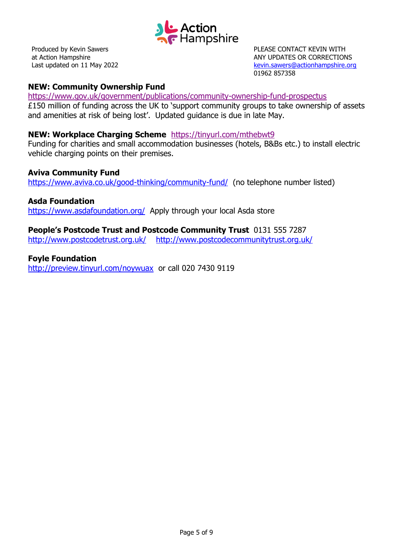

PLEASE CONTACT KEVIN WITH ANY UPDATES OR CORRECTIONS [kevin.sawers@actionhampshire.org](mailto:kevin.sawers@actionhampshire.org) 01962 857358

## **NEW: Community Ownership Fund**

<https://www.gov.uk/government/publications/community-ownership-fund-prospectus>

£150 million of funding across the UK to 'support community groups to take ownership of assets and amenities at risk of being lost'. Updated guidance is due in late May.

#### **NEW: Workplace Charging Scheme** <https://tinyurl.com/mthebwt9>

Funding for charities and small accommodation businesses (hotels, B&Bs etc.) to install electric vehicle charging points on their premises.

#### **Aviva Community Fund**

<https://www.aviva.co.uk/good-thinking/community-fund/> (no telephone number listed)

#### **Asda Foundation**

<https://www.asdafoundation.org/>Apply through your local Asda store

**People's Postcode Trust and Postcode Community Trust** 0131 555 7287 <http://www.postcodetrust.org.uk/><http://www.postcodecommunitytrust.org.uk/>

**Foyle Foundation** <http://preview.tinyurl.com/noywuax>or call 020 7430 9119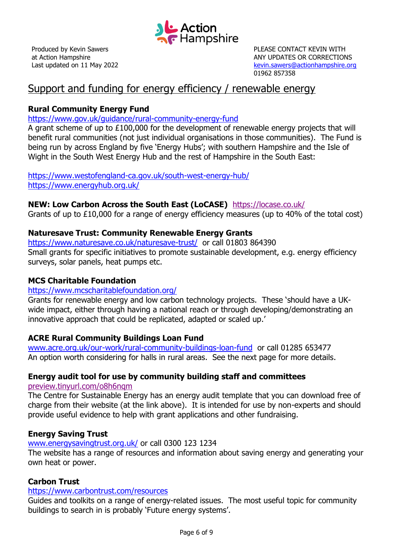

PLEASE CONTACT KEVIN WITH ANY UPDATES OR CORRECTIONS [kevin.sawers@actionhampshire.org](mailto:kevin.sawers@actionhampshire.org) 01962 857358

## Support and funding for energy efficiency / renewable energy

## **Rural Community Energy Fund**

#### <https://www.gov.uk/guidance/rural-community-energy-fund>

A grant scheme of up to £100,000 for the development of renewable energy projects that will benefit rural communities (not just individual organisations in those communities). The Fund is being run by across England by five 'Energy Hubs'; with southern Hampshire and the Isle of Wight in the South West Energy Hub and the rest of Hampshire in the South East:

<https://www.westofengland-ca.gov.uk/south-west-energy-hub/> <https://www.energyhub.org.uk/>

## **NEW: Low Carbon Across the South East (LoCASE)** <https://locase.co.uk/>

Grants of up to £10,000 for a range of energy efficiency measures (up to 40% of the total cost)

## **Naturesave Trust: Community Renewable Energy Grants**

<https://www.naturesave.co.uk/naturesave-trust/> or call 01803 864390 Small grants for specific initiatives to promote sustainable development, e.g. energy efficiency surveys, solar panels, heat pumps etc.

## **MCS Charitable Foundation**

#### <https://www.mcscharitablefoundation.org/>

Grants for renewable energy and low carbon technology projects. These 'should have a UKwide impact, either through having a national reach or through developing/demonstrating an innovative approach that could be replicated, adapted or scaled up.'

## **ACRE Rural Community Buildings Loan Fund**

[www.acre.org.uk/our-work/rural-community-buildings-loan-fund](http://www.acre.org.uk/our-work/rural-community-buildings-loan-fund) or call 01285 653477 An option worth considering for halls in rural areas. See the next page for more details.

## **Energy audit tool for use by community building staff and committees**

#### [preview.tinyurl.com/o8h6nqm](http://preview.tinyurl.com/o8h6nqm)

The Centre for Sustainable Energy has an energy audit template that you can download free of charge from their website (at the link above). It is intended for use by non-experts and should provide useful evidence to help with grant applications and other fundraising.

## **Energy Saving Trust**

#### [www.energysavingtrust.org.uk/](http://www.energysavingtrust.org.uk/) or call 0300 123 1234

The website has a range of resources and information about saving energy and generating your own heat or power.

## **Carbon Trust**

#### <https://www.carbontrust.com/resources>

Guides and toolkits on a range of energy-related issues. The most useful topic for community buildings to search in is probably 'Future energy systems'.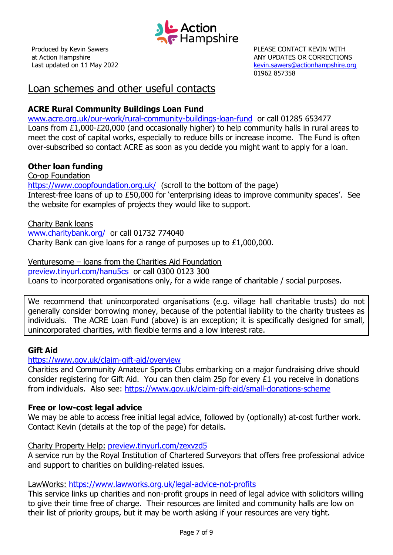

PLEASE CONTACT KEVIN WITH ANY UPDATES OR CORRECTIONS [kevin.sawers@actionhampshire.org](mailto:kevin.sawers@actionhampshire.org) 01962 857358

## Loan schemes and other useful contacts

## **ACRE Rural Community Buildings Loan Fund**

[www.acre.org.uk/our-work/rural-community-buildings-loan-fund](http://www.acre.org.uk/our-work/rural-community-buildings-loan-fund) or call 01285 653477 Loans from £1,000-£20,000 (and occasionally higher) to help community halls in rural areas to meet the cost of capital works, especially to reduce bills or increase income. The Fund is often over-subscribed so contact ACRE as soon as you decide you might want to apply for a loan.

## **Other loan funding**

Co-op Foundation <https://www.coopfoundation.org.uk/>(scroll to the bottom of the page) Interest-free loans of up to £50,000 for 'enterprising ideas to improve community spaces'. See the website for examples of projects they would like to support.

Charity Bank loans [www.charitybank.org/](http://www.charitybank.org/) or call 01732 774040 Charity Bank can give loans for a range of purposes up to £1,000,000.

Venturesome – loans from the Charities Aid Foundation [preview.tinyurl.com/hanu5cs](http://preview.tinyurl.com/hanu5cs) or call 0300 0123 300 Loans to incorporated organisations only, for a wide range of charitable / social purposes.

We recommend that unincorporated organisations (e.g. village hall charitable trusts) do not generally consider borrowing money, because of the potential liability to the charity trustees as individuals. The ACRE Loan Fund (above) is an exception; it is specifically designed for small, unincorporated charities, with flexible terms and a low interest rate.

#### **Gift Aid**

#### <https://www.gov.uk/claim-gift-aid/overview>

Charities and Community Amateur Sports Clubs embarking on a major fundraising drive should consider registering for Gift Aid. You can then claim 25p for every £1 you receive in donations from individuals. Also see:<https://www.gov.uk/claim-gift-aid/small-donations-scheme>

#### **Free or low-cost legal advice**

We may be able to access free initial legal advice, followed by (optionally) at-cost further work. Contact Kevin (details at the top of the page) for details.

#### Charity Property Help: [preview.tinyurl.com/zexvzd5](http://preview.tinyurl.com/zexvzd5)

A service run by the Royal Institution of Chartered Surveyors that offers free professional advice and support to charities on building-related issues.

#### LawWorks: <https://www.lawworks.org.uk/legal-advice-not-profits>

This service links up charities and non-profit groups in need of legal advice with solicitors willing to give their time free of charge. Their resources are limited and community halls are low on their list of priority groups, but it may be worth asking if your resources are very tight.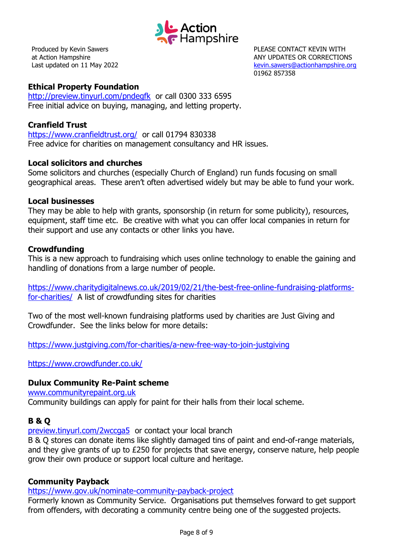

PLEASE CONTACT KEVIN WITH ANY UPDATES OR CORRECTIONS [kevin.sawers@actionhampshire.org](mailto:kevin.sawers@actionhampshire.org) 01962 857358

## **Ethical Property Foundation**

<http://preview.tinyurl.com/pndegfk>or call 0300 333 6595 Free initial advice on buying, managing, and letting property.

#### **Cranfield Trust**

<https://www.cranfieldtrust.org/>or call 01794 830338 Free advice for charities on management consultancy and HR issues.

#### **Local solicitors and churches**

Some solicitors and churches (especially Church of England) run funds focusing on small geographical areas. These aren't often advertised widely but may be able to fund your work.

#### **Local businesses**

They may be able to help with grants, sponsorship (in return for some publicity), resources, equipment, staff time etc. Be creative with what you can offer local companies in return for their support and use any contacts or other links you have.

#### **Crowdfunding**

This is a new approach to fundraising which uses online technology to enable the gaining and handling of donations from a large number of people.

[https://www.charitydigitalnews.co.uk/2019/02/21/the-best-free-online-fundraising-platforms](https://www.charitydigitalnews.co.uk/2019/02/21/the-best-free-online-fundraising-platforms-for-charities/)[for-charities/](https://www.charitydigitalnews.co.uk/2019/02/21/the-best-free-online-fundraising-platforms-for-charities/) A list of crowdfunding sites for charities

Two of the most well-known fundraising platforms used by charities are Just Giving and Crowdfunder. See the links below for more details:

<https://www.justgiving.com/for-charities/a-new-free-way-to-join-justgiving>

<https://www.crowdfunder.co.uk/>

## **Dulux Community Re-Paint scheme**

[www.communityrepaint.org.uk](http://www.communityrepaint.org.uk/)

Community buildings can apply for paint for their halls from their local scheme.

## **B & Q**

[preview.tinyurl.com/2wccga5](http://preview.tinyurl.com/2wccga5) or contact your local branch

B & Q stores can donate items like slightly damaged tins of paint and end-of-range materials, and they give grants of up to £250 for projects that save energy, conserve nature, help people grow their own produce or support local culture and heritage.

## **Community Payback**

<https://www.gov.uk/nominate-community-payback-project>

Formerly known as Community Service. Organisations put themselves forward to get support from offenders, with decorating a community centre being one of the suggested projects.